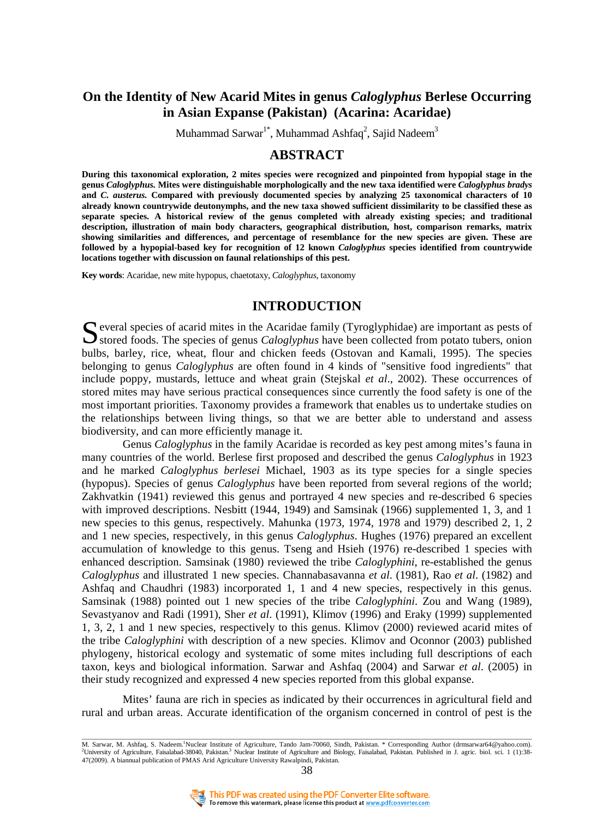# **On the Identity of New Acarid Mites in genus** *Caloglyphus* **Berlese Occurring in Asian Expanse (Pakistan) (Acarina: Acaridae)**

Muhammad Sarwar $^{1*}$ , Muhammad Ashfaq $^{2}$ , Sajid Nadeem $^{3}$ 

# **ABSTRACT**

**During this taxonomical exploration, 2 mites species were recognized and pinpointed from hypopial stage in the genus** *Caloglyphus.* **Mites were distinguishable morphologically and the new taxa identified were** *Caloglyphus bradys*  **and** *C. austerus.* **Compared with previously documented species by analyzing 25 taxonomical characters of 10 already known countrywide deutonymphs, and the new taxa showed sufficient dissimilarity to be classified these as separate species. A historical review of the genus completed with already existing species; and traditional description, illustration of main body characters, geographical distribution, host, comparison remarks, matrix showing similarities and differences, and percentage of resemblance for the new species are given. These are followed by a hypopial-based key for recognition of 12 known** *Caloglyphus* **species identified from countrywide locations together with discussion on faunal relationships of this pest.**

**Key words**: Acaridae, new mite hypopus, chaetotaxy, *Caloglyphus*, taxonomy

## **INTRODUCTION**

Several species of acarid mites in the Acaridae family (Tyroglyphidae) are important as pests of Several foods. The species of genus *Caloglyphus* have been collected from potato tubers, onion Stored foods. The species of genus *Caloglyphus* have been collected from potato tubers, onion bulbs, barley, rice, wheat, flour and chicken feeds [\(Ostovan](http://gateway.ut.ovid.com/gw1/ovidweb.cgi?S=EBLCIDJPDHNJPMNPHKJLBCOCNKPPAA00&Search+Link=%22Ostovan%2c+H%22.au.) and [Kamali,](http://gateway.ut.ovid.com/gw1/ovidweb.cgi?S=EBLCIDJPDHNJPMNPHKJLBCOCNKPPAA00&Search+Link=%22Kamali%2c+K%22.au.) 1995). The species belonging to genus *Caloglyphus* are often found in 4 kinds of "sensitive food ingredients" that include poppy, mustards, lettuce and wheat grain [\(Stejskal](http://gateway.ut.ovid.com/gw1/ovidweb.cgi?S=EBLCIDJPDHNJPMNPHKJLBCOCNKPPAA00&Search+Link=%22Stejskal%2c+V%22.au.) *et al*., 2002). These occurrences of stored mites may have serious practical consequences since currently the food safety is one of the most important priorities. Taxonomy provides a framework that enables us to undertake studies on the relationships between living things, so that we are better able to understand and assess biodiversity, and can more efficiently manage it.

Genus *Caloglyphus* in the family Acaridae is recorded as key pest among mites's fauna in many countries of the world. Berlese first proposed and described the genus *Caloglyphus* in 1923 and he marked *Caloglyphus berlesei* Michael, 1903 as its type species for a single species (hypopus). Species of genus *Caloglyphus* have been reported from several regions of the world; Zakhvatkin (1941) reviewed this genus and portrayed 4 new species and re-described 6 species with improved descriptions. Nesbitt (1944, 1949) and Samsinak (1966) supplemented 1, 3, and 1 new species to this genus, respectively. Mahunka (1973, 1974, 1978 and 1979) described 2, 1, 2 and 1 new species, respectively, in this genus *Caloglyphus*. Hughes (1976) prepared an excellent accumulation of knowledge to this genus. Tseng and Hsieh (1976) re-described 1 species with enhanced description. Samsinak (1980) reviewed the tribe *Caloglyphini*, re-established the genus *Caloglyphus* and illustrated 1 new species. Channabasavanna *et al*. (1981), Rao *et al*. (1982) and Ashfaq and Chaudhri (1983) incorporated 1, 1 and 4 new species, respectively in this genus. Samsinak (1988) pointed out 1 new species of the tribe *Caloglyphini*. Zou and Wang (1989), Sevastyanov and Radi (1991), Sher *et al*. (1991), Klimov (1996) and Eraky (1999) supplemented 1, 3, 2, 1 and 1 new species, respectively to this genus. Klimov (2000) reviewed acarid mites of the tribe *Caloglyphini* with description of a new species. Klimov and Oconnor (2003) published phylogeny, historical ecology and systematic of some mites including full descriptions of each taxon, keys and biological information. Sarwar and Ashfaq (2004) and Sarwar *et al*. (2005) in their study recognized and expressed 4 new species reported from this global expanse.

Mites' fauna are rich in species as indicated by their occurrences in agricultural field and rural and urban areas. Accurate identification of the organism concerned in control of pest is the

M. Sarwar, M. Ashfaq, S. Nadeem.<sup>1</sup>Nuclear Institute of Agriculture, Tando Jam-70060, Sindh, Pakistan. \* Corresponding Author (drmsarwar64@yahoo.com). <sup>2</sup>University of Agriculture, Faisalabad-38040, Pakistan.<sup>3</sup> Nuclear Institute of Agriculture and Biology, Faisalabad, Pakistan. Published in J. agric. biol. sci. 1 (1):38-47(2009). A biannual publication of PMAS Arid Agriculture University Rawalpindi, Pakistan.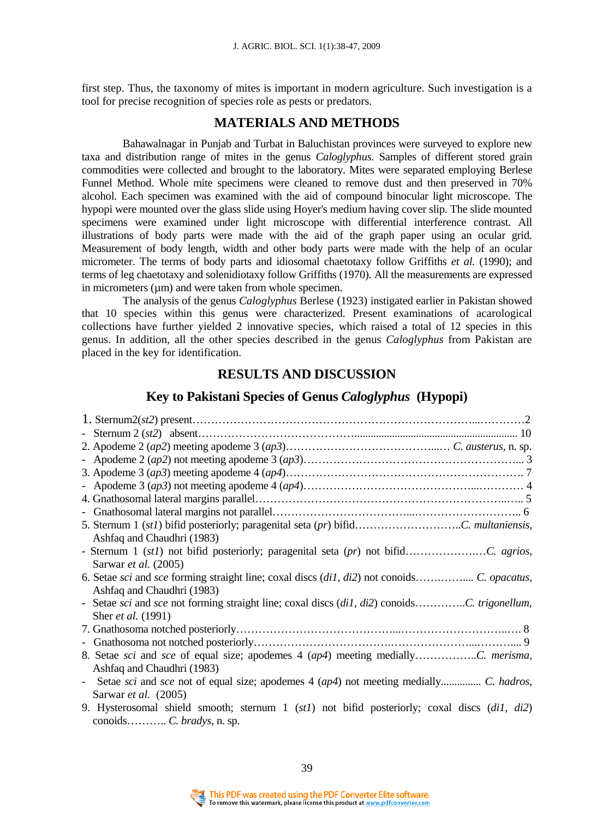first step. Thus, the taxonomy of mites is important in modern agriculture. Such investigation is a tool for precise recognition of species role as pests or predators.

## **MATERIALS AND METHODS**

Bahawalnagar in Punjab and Turbat in Baluchistan provinces were surveyed to explore new taxa and distribution range of mites in the genus *Caloglyphus.* Samples of different stored grain commodities were collected and brought to the laboratory. Mites were separated employing Berlese Funnel Method. Whole mite specimens were cleaned to remove dust and then preserved in 70% alcohol. Each specimen was examined with the aid of compound binocular light microscope. The hypopi were mounted over the glass slide using Hoyer's medium having cover slip. The slide mounted specimens were examined under light microscope with differential interference contrast. All illustrations of body parts were made with the aid of the graph paper using an ocular grid. Measurement of body length, width and other body parts were made with the help of an ocular micrometer. The terms of body parts and idiosomal chaetotaxy follow Griffiths *et al.* (1990); and terms of leg chaetotaxy and solenidiotaxy follow Griffiths (1970)*.* All the measurements are expressed in micrometers  $(\mu m)$  and were taken from whole specimen.

 The analysis of the genus *Caloglyphus* Berlese (1923) instigated earlier in Pakistan showed that 10 species within this genus were characterized. Present examinations of acarological collections have further yielded 2 innovative species, which raised a total of 12 species in this genus. In addition, all the other species described in the genus *Caloglyphus* from Pakistan are placed in the key for identification.

## **RESULTS AND DISCUSSION**

### **Key to Pakistani Species of Genus** *Caloglyphus* **(Hypopi)**

| Ashfaq and Chaudhri (1983)                                                                   |  |
|----------------------------------------------------------------------------------------------|--|
|                                                                                              |  |
| Sarwar <i>et al.</i> (2005)                                                                  |  |
|                                                                                              |  |
| Ashfaq and Chaudhri (1983)                                                                   |  |
|                                                                                              |  |
| Sher et al. (1991)                                                                           |  |
|                                                                                              |  |
|                                                                                              |  |
|                                                                                              |  |
| Ashfaq and Chaudhri (1983)                                                                   |  |
| - Setae sci and sce not of equal size; apodemes 4 (ap4) not meeting medially C. hadros,      |  |
| Sarwar et al. (2005)                                                                         |  |
| 9. Hysterosomal shield smooth; sternum 1 (st1) not bifid posteriorly; coxal discs (di1, di2) |  |
|                                                                                              |  |

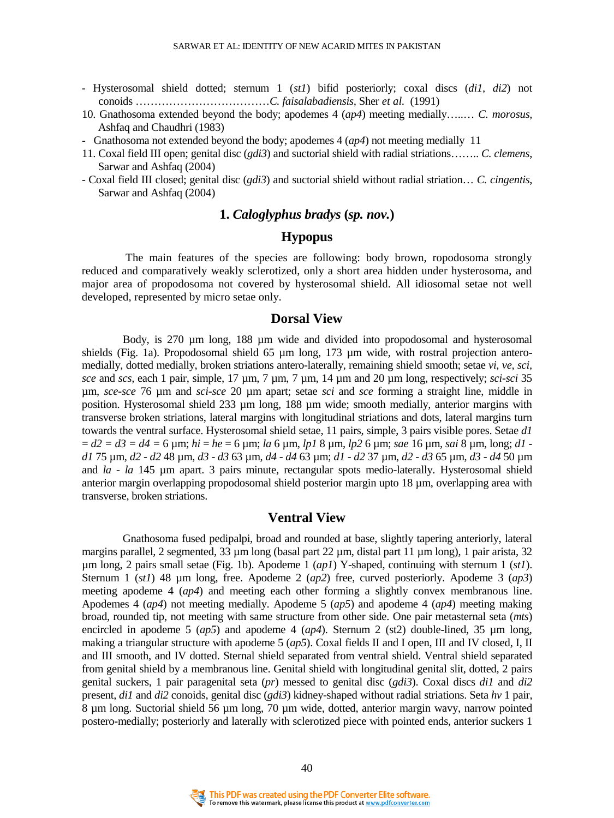- Hysterosomal shield dotted; sternum 1 (*st1*) bifid posteriorly; coxal discs (*di1, di2*) not conoids ………………………………*C. faisalabadiensis,* Sher *et al.* (1991)
- 10. Gnathosoma extended beyond the body; apodemes 4 (*ap4*) meeting medially…..… *C. morosus,* Ashfaq and Chaudhri (1983)
- Gnathosoma not extended beyond the body; apodemes 4 (*ap4*) not meeting medially 11
- 11. Coxal field III open; genital disc (*gdi3*) and suctorial shield with radial striations…….. *C. clemens*, Sarwar and Ashfaq (2004)
- Coxal field III closed; genital disc (*gdi3*) and suctorial shield without radial striation… *C. cingentis*, Sarwar and Ashfaq (2004)

## **1.** *Caloglyphus bradys* **(***sp. nov.***)**

## **Hypopus**

 The main features of the species are following: body brown, ropodosoma strongly reduced and comparatively weakly sclerotized, only a short area hidden under hysterosoma, and major area of propodosoma not covered by hysterosomal shield. All idiosomal setae not well developed, represented by micro setae only.

#### **Dorsal View**

Body, is 270  $\mu$ m long, 188  $\mu$ m wide and divided into propodosomal and hysterosomal shields (Fig. 1a). Propodosomal shield 65 µm long, 173 µm wide, with rostral projection anteromedially, dotted medially, broken striations antero-laterally, remaining shield smooth; setae *vi, ve, sci, sce* and *scs,* each 1 pair, simple, 17 µm, 7 µm, 7 µm, 14 µm and 20 µm long, respectively; *sci-sci* 35 µm, *sce-sce* 76 µm and *sci-sce* 20 µm apart; setae *sci* and *sce* forming a straight line, middle in position. Hysterosomal shield 233 µm long, 188 µm wide; smooth medially, anterior margins with transverse broken striations, lateral margins with longitudinal striations and dots, lateral margins turn towards the ventral surface. Hysterosomal shield setae, 11 pairs, simple, 3 pairs visible pores. Setae *d1* = *d2 = d3 = d4 =* 6 µm; *hi* = *he* = 6 µm; *la* 6 µm, *lp1* 8 µm, *lp2* 6 µm; *sae* 16 µm, *sai* 8 µm, long; *d1 d1* 75 µm, *d2 - d2* 48 µm, *d3 - d3* 63 µm, *d4 - d4* 63 µm; *d1 - d2* 37 µm, *d2 - d3* 65 µm, *d3 - d4* 50 µm and *la - la* 145 µm apart. 3 pairs minute, rectangular spots medio-laterally. Hysterosomal shield anterior margin overlapping propodosomal shield posterior margin upto 18 µm, overlapping area with transverse, broken striations.

### **Ventral View**

Gnathosoma fused pedipalpi, broad and rounded at base, slightly tapering anteriorly, lateral margins parallel, 2 segmented, 33  $\mu$ m long (basal part 22  $\mu$ m, distal part 11  $\mu$ m long), 1 pair arista, 32 µm long, 2 pairs small setae (Fig. 1b). Apodeme 1 (*ap1*) Y-shaped, continuing with sternum 1 (*st1*). Sternum 1 (*st1*) 48 µm long, free. Apodeme 2 (*ap2*) free, curved posteriorly. Apodeme 3 (*ap3*) meeting apodeme 4 (*ap4*) and meeting each other forming a slightly convex membranous line. Apodemes 4 (*ap4*) not meeting medially. Apodeme 5 (*ap5*) and apodeme 4 (*ap4*) meeting making broad, rounded tip, not meeting with same structure from other side. One pair metasternal seta (*mts*) encircled in apodeme 5  $(ap5)$  and apodeme 4  $(ap4)$ . Sternum 2 (st2) double-lined, 35  $\mu$ m long, making a triangular structure with apodeme 5 (*ap5*). Coxal fields II and I open, III and IV closed, I, II and III smooth, and IV dotted. Sternal shield separated from ventral shield. Ventral shield separated from genital shield by a membranous line. Genital shield with longitudinal genital slit, dotted, 2 pairs genital suckers, 1 pair paragenital seta (*pr*) messed to genital disc (*gdi3*). Coxal discs *di1* and *di2* present, *di1* and *di2* conoids, genital disc (*gdi3*) kidney-shaped without radial striations. Seta *hv* 1 pair, 8 µm long. Suctorial shield 56 µm long, 70 µm wide, dotted, anterior margin wavy, narrow pointed postero-medially; posteriorly and laterally with sclerotized piece with pointed ends, anterior suckers 1

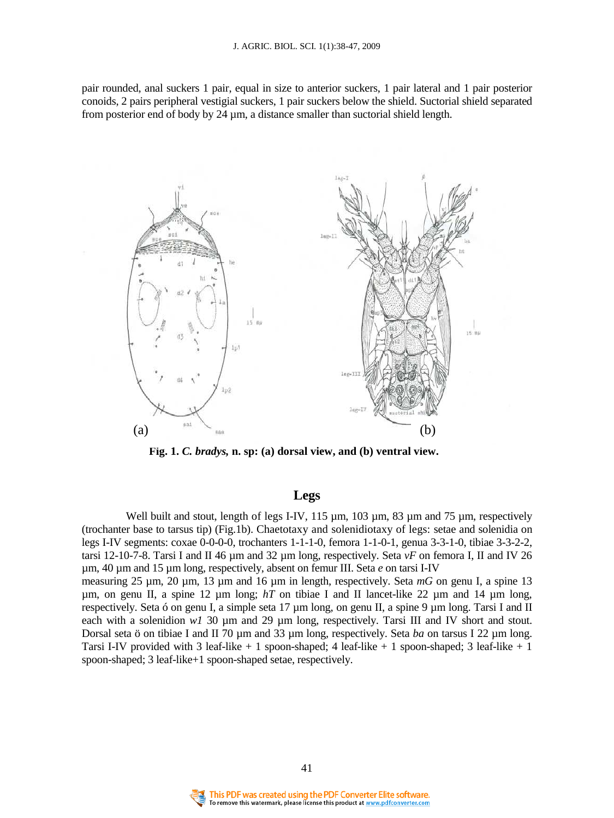pair rounded, anal suckers 1 pair, equal in size to anterior suckers, 1 pair lateral and 1 pair posterior conoids, 2 pairs peripheral vestigial suckers, 1 pair suckers below the shield. Suctorial shield separated from posterior end of body by 24 µm, a distance smaller than suctorial shield length.



**Fig. 1.** *C. bradys,* **n. sp: (a) dorsal view, and (b) ventral view.**

# **Legs**

Well built and stout, length of legs I-IV, 115  $\mu$ m, 103  $\mu$ m, 83  $\mu$ m and 75  $\mu$ m, respectively (trochanter base to tarsus tip) (Fig.1b). Chaetotaxy and solenidiotaxy of legs: setae and solenidia on legs I-IV segments: coxae 0-0-0-0, trochanters 1-1-1-0, femora 1-1-0-1, genua 3-3-1-0, tibiae 3-3-2-2, tarsi 12-10-7-8. Tarsi I and II 46 µm and 32 µm long, respectively. Seta *vF* on femora I, II and IV 26 µm, 40 µm and 15 µm long, respectively, absent on femur III. Seta *e* on tarsi I-IV measuring 25 µm, 20 µm, 13 µm and 16 µm in length, respectively. Seta *mG* on genu I, a spine 13  $\mu$ m, on genu II, a spine 12  $\mu$ m long; *hT* on tibiae I and II lancet-like 22  $\mu$ m and 14  $\mu$ m long,

respectively. Seta ó on genu I, a simple seta 17 µm long, on genu II, a spine 9 µm long. Tarsi I and II each with a solenidion  $w1$  30  $\mu$ m and 29  $\mu$ m long, respectively. Tarsi III and IV short and stout. Dorsal seta ö on tibiae I and II 70 µm and 33 µm long, respectively. Seta *ba* on tarsus I 22 µm long. Tarsi I-IV provided with 3 leaf-like + 1 spoon-shaped; 4 leaf-like + 1 spoon-shaped; 3 leaf-like + 1 spoon-shaped; 3 leaf-like+1 spoon-shaped setae, respectively.

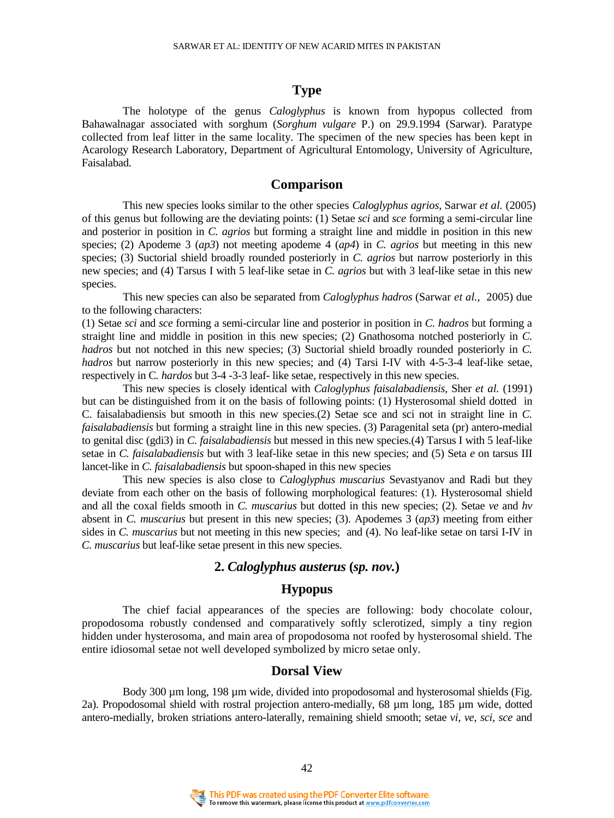### **Type**

The holotype of the genus *Caloglyphus* is known from hypopus collected from Bahawalnagar associated with sorghum (*Sorghum vulgare* P.) on 29.9.1994 (Sarwar). Paratype collected from leaf litter in the same locality. The specimen of the new species has been kept in Acarology Research Laboratory, Department of Agricultural Entomology, University of Agriculture, Faisalabad.

## **Comparison**

This new species looks similar to the other species *Caloglyphus agrios*, Sarwar *et al.* (2005) of this genus but following are the deviating points: (1) Setae *sci* and *sce* forming a semi-circular line and posterior in position in *C. agrios* but forming a straight line and middle in position in this new species; (2) Apodeme 3 (*ap3*) not meeting apodeme 4 (*ap4*) in *C. agrios* but meeting in this new species; (3) Suctorial shield broadly rounded posteriorly in *C. agrios* but narrow posteriorly in this new species; and (4) Tarsus I with 5 leaf-like setae in *C. agrios* but with 3 leaf-like setae in this new species.

 This new species can also be separated from *Caloglyphus hadros* (Sarwar *et al.,* 2005) due to the following characters:

(1) Setae *sci* and *sce* forming a semi-circular line and posterior in position in *C. hadros* but forming a straight line and middle in position in this new species; (2) Gnathosoma notched posteriorly in *C. hadros* but not notched in this new species; (3) Suctorial shield broadly rounded posteriorly in *C. hadros* but narrow posteriorly in this new species; and (4) Tarsi I-IV with 4-5-3-4 leaf-like setae, respectively in C*. hardos* but 3-4 -3-3 leaf- like setae, respectively in this new species.

 This new species is closely identical with *Caloglyphus faisalabadiensis,* Sher *et al.* (1991) but can be distinguished from it on the basis of following points: (1) Hysterosomal shield dotted in C. faisalabadiensis but smooth in this new species.(2) Setae sce and sci not in straight line in *C. faisalabadiensis* but forming a straight line in this new species. (3) Paragenital seta (pr) antero-medial to genital disc (gdi3) in *C. faisalabadiensis* but messed in this new species.(4) Tarsus I with 5 leaf-like setae in *C. faisalabadiensis* but with 3 leaf-like setae in this new species; and (5) Seta *e* on tarsus III lancet-like in *C. faisalabadiensis* but spoon-shaped in this new species

 This new species is also close to *Caloglyphus muscarius* Sevastyanov and Radi but they deviate from each other on the basis of following morphological features: (1). Hysterosomal shield and all the coxal fields smooth in *C. muscarius* but dotted in this new species; (2). Setae *ve* and *hv* absent in *C. muscarius* but present in this new species; (3). Apodemes 3 (*ap3*) meeting from either sides in *C. muscarius* but not meeting in this new species; and (4). No leaf-like setae on tarsi I-IV in *C. muscarius* but leaf-like setae present in this new species.

## **2.** *Caloglyphus austerus* **(***sp. nov.***)**

# **Hypopus**

The chief facial appearances of the species are following: body chocolate colour, propodosoma robustly condensed and comparatively softly sclerotized, simply a tiny region hidden under hysterosoma, and main area of propodosoma not roofed by hysterosomal shield. The entire idiosomal setae not well developed symbolized by micro setae only.

### **Dorsal View**

Body 300 µm long, 198 µm wide, divided into propodosomal and hysterosomal shields (Fig. 2a). Propodosomal shield with rostral projection antero-medially, 68 µm long, 185 µm wide, dotted antero-medially, broken striations antero-laterally, remaining shield smooth; setae *vi, ve, sci, sce* and

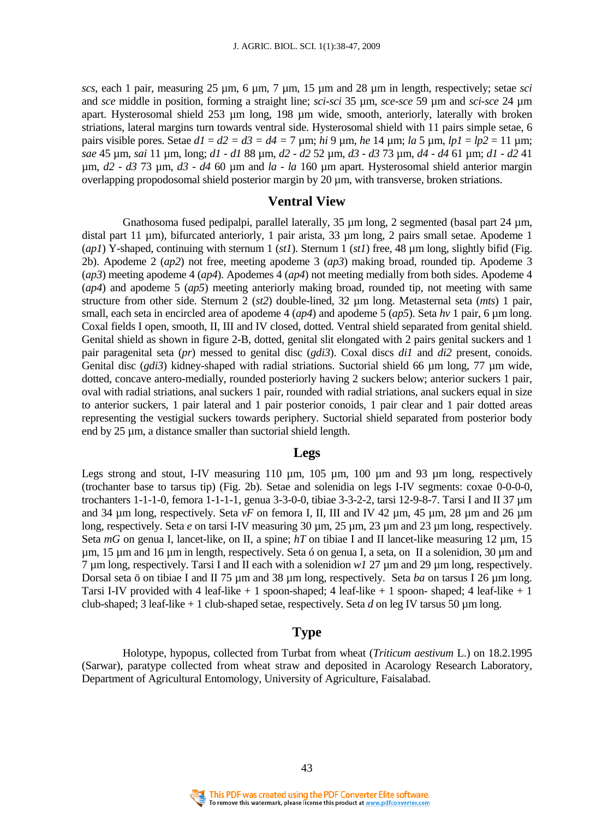*scs*, each 1 pair, measuring 25 µm, 6 µm, 7 µm, 15 µm and 28 µm in length, respectively; setae *sci* and *sce* middle in position, forming a straight line; *sci-sci* 35 µm, *sce-sce* 59 µm and *sci-sce* 24 µm apart. Hysterosomal shield 253 µm long, 198 µm wide, smooth, anteriorly, laterally with broken striations, lateral margins turn towards ventral side. Hysterosomal shield with 11 pairs simple setae, 6 pairs visible pores. Setae  $dI = d2 = d3 = d4 = 7 \text{ µm}$ ;  $hi\ 9 \text{ µm}$ ,  $he\ 14 \text{ µm}$ ;  $la\ 5 \text{ µm}$ ,  $lpI = lp2 = 11 \text{ µm}$ ; *sae* 45 µm, *sai* 11 µm, long; *d1 - d1* 88 µm, *d2 - d2* 52 µm, *d3 - d3* 73 µm, *d4 - d4* 61 µm; *d1 - d2* 41 µm, *d2 - d3* 73 µm, *d3 - d4* 60 µm and *la - la* 160 µm apart. Hysterosomal shield anterior margin overlapping propodosomal shield posterior margin by 20 µm, with transverse, broken striations.

### **Ventral View**

Gnathosoma fused pedipalpi, parallel laterally, 35  $\mu$ m long, 2 segmented (basal part 24  $\mu$ m, distal part 11 µm), bifurcated anteriorly, 1 pair arista, 33 µm long, 2 pairs small setae. Apodeme 1 (*ap1*) Y-shaped, continuing with sternum 1 (*st1*). Sternum 1 (*st1*) free, 48 µm long, slightly bifid (Fig. 2b). Apodeme 2 (*ap2*) not free, meeting apodeme 3 (*ap3*) making broad, rounded tip. Apodeme 3 (*ap3*) meeting apodeme 4 (*ap4*). Apodemes 4 (*ap4*) not meeting medially from both sides. Apodeme 4 (*ap4*) and apodeme 5 (*ap5*) meeting anteriorly making broad, rounded tip, not meeting with same structure from other side. Sternum 2 (*st2*) double-lined, 32 µm long. Metasternal seta (*mts*) 1 pair, small, each seta in encircled area of apodeme 4 ( $ap4$ ) and apodeme 5 ( $ap5$ ). Seta  $hv$  1 pair, 6  $\mu$ m long. Coxal fields I open, smooth, II, III and IV closed, dotted. Ventral shield separated from genital shield. Genital shield as shown in figure 2-B, dotted, genital slit elongated with 2 pairs genital suckers and 1 pair paragenital seta (*pr*) messed to genital disc (*gdi3*). Coxal discs *di1* and *di2* present, conoids. Genital disc (*gdi3*) kidney-shaped with radial striations. Suctorial shield 66 µm long, 77 µm wide, dotted, concave antero-medially, rounded posteriorly having 2 suckers below; anterior suckers 1 pair, oval with radial striations, anal suckers 1 pair, rounded with radial striations, anal suckers equal in size to anterior suckers, 1 pair lateral and 1 pair posterior conoids, 1 pair clear and 1 pair dotted areas representing the vestigial suckers towards periphery. Suctorial shield separated from posterior body end by 25 µm, a distance smaller than suctorial shield length.

#### **Legs**

Legs strong and stout, I-IV measuring 110  $\mu$ m, 105  $\mu$ m, 100  $\mu$ m and 93  $\mu$ m long, respectively (trochanter base to tarsus tip) (Fig. 2b). Setae and solenidia on legs I-IV segments: coxae 0-0-0-0, trochanters 1-1-1-0, femora 1-1-1-1, genua 3-3-0-0, tibiae 3-3-2-2, tarsi 12-9-8-7. Tarsi I and II 37 µm and 34  $\mu$ m long, respectively. Seta *vF* on femora I, II, III and IV 42  $\mu$ m, 45  $\mu$ m, 28  $\mu$ m and 26  $\mu$ m long, respectively. Seta *e* on tarsi I-IV measuring 30 µm, 25 µm, 23 µm and 23 µm long, respectively. Seta *mG* on genua I, lancet-like, on II, a spine; *hT* on tibiae I and II lancet-like measuring 12  $\mu$ m, 15 µm, 15 µm and 16 µm in length, respectively. Seta ó on genua I, a seta, on II a solenidion, 30 µm and 7 µm long, respectively. Tarsi I and II each with a solenidion *w1* 27 µm and 29 µm long, respectively. Dorsal seta ö on tibiae I and II 75 µm and 38 µm long, respectively. Seta *ba* on tarsus I 26 µm long. Tarsi I-IV provided with 4 leaf-like + 1 spoon-shaped; 4 leaf-like + 1 spoon- shaped; 4 leaf-like + 1 club-shaped; 3 leaf-like + 1 club-shaped setae, respectively. Seta *d* on leg IV tarsus 50 µm long.

## **Type**

Holotype, hypopus, collected from Turbat from wheat (*Triticum aestivum* L.) on 18.2.1995 (Sarwar), paratype collected from wheat straw and deposited in Acarology Research Laboratory, Department of Agricultural Entomology, University of Agriculture, Faisalabad.

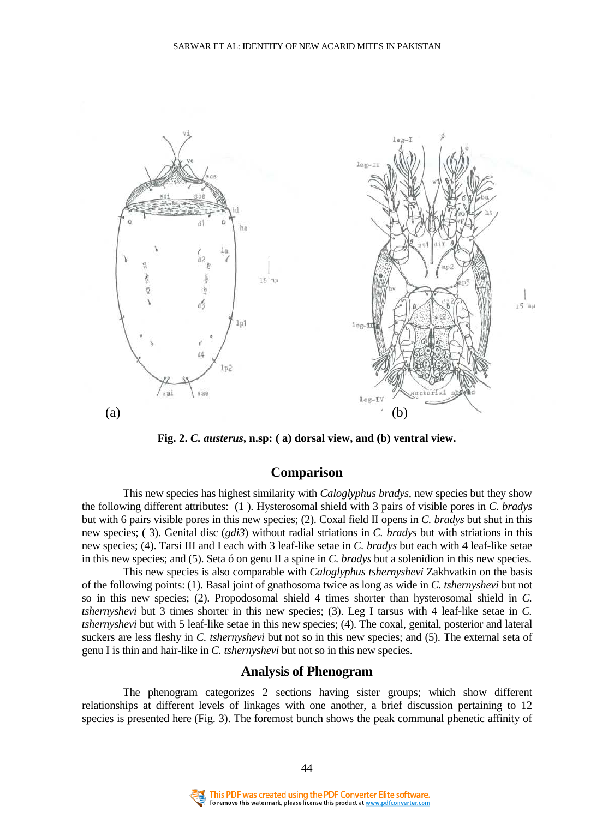

**Fig. 2.** *C. austerus***, n.sp: ( a) dorsal view, and (b) ventral view.** 

## **Comparison**

This new species has highest similarity with *Caloglyphus bradys*, new species but they show the following different attributes: (1 ). Hysterosomal shield with 3 pairs of visible pores in *C. bradys* but with 6 pairs visible pores in this new species; (2). Coxal field II opens in *C. bradys* but shut in this new species; ( 3). Genital disc (*gdi3*) without radial striations in *C. bradys* but with striations in this new species; (4). Tarsi III and I each with 3 leaf-like setae in *C. bradys* but each with 4 leaf-like setae in this new species; and (5). Seta ó on genu II a spine in *C. bradys* but a solenidion in this new species.

 This new species is also comparable with *Caloglyphus tshernyshevi* Zakhvatkin on the basis of the following points: (1). Basal joint of gnathosoma twice as long as wide in *C. tshernyshevi* but not so in this new species; (2). Propodosomal shield 4 times shorter than hysterosomal shield in *C. tshernyshevi* but 3 times shorter in this new species; (3). Leg I tarsus with 4 leaf-like setae in *C. tshernyshevi* but with 5 leaf-like setae in this new species; (4). The coxal, genital, posterior and lateral suckers are less fleshy in *C. tshernyshevi* but not so in this new species; and (5). The external seta of genu I is thin and hair-like in *C. tshernyshevi* but not so in this new species.

#### **Analysis of Phenogram**

The phenogram categorizes 2 sections having sister groups; which show different relationships at different levels of linkages with one another, a brief discussion pertaining to 12 species is presented here (Fig. 3). The foremost bunch shows the peak communal phenetic affinity of

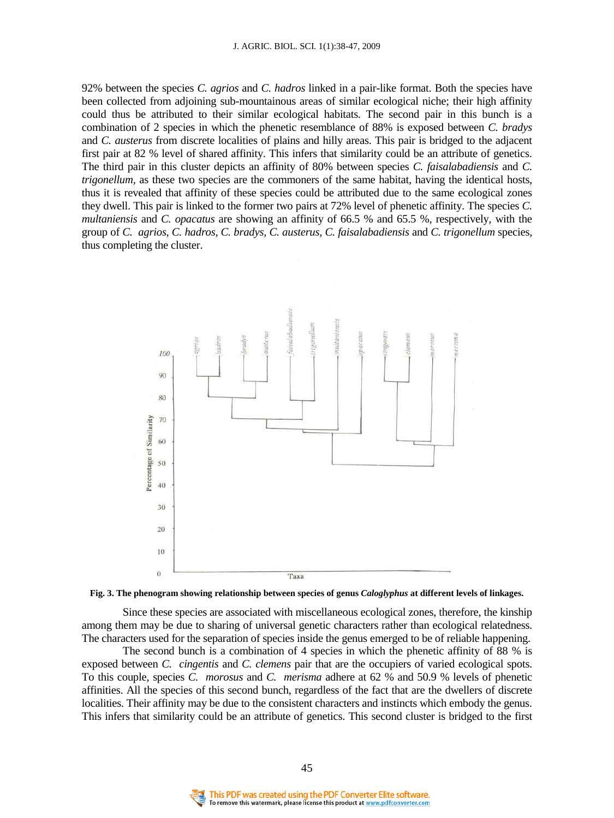92% between the species *C. agrios* and *C. hadros* linked in a pair-like format. Both the species have been collected from adjoining sub-mountainous areas of similar ecological niche; their high affinity could thus be attributed to their similar ecological habitats. The second pair in this bunch is a combination of 2 species in which the phenetic resemblance of 88% is exposed between *C. bradys*  and *C. austerus* from discrete localities of plains and hilly areas. This pair is bridged to the adjacent first pair at 82 % level of shared affinity. This infers that similarity could be an attribute of genetics. The third pair in this cluster depicts an affinity of 80% between species *C. faisalabadiensis* and *C. trigonellum*, as these two species are the commoners of the same habitat, having the identical hosts, thus it is revealed that affinity of these species could be attributed due to the same ecological zones they dwell. This pair is linked to the former two pairs at 72% level of phenetic affinity. The species *C. multaniensis* and *C. opacatus* are showing an affinity of 66.5 % and 65.5 %, respectively, with the group of *C. agrios, C. hadros, C. bradys, C. austerus, C. faisalabadiensis* and *C. trigonellum* species, thus completing the cluster.





Since these species are associated with miscellaneous ecological zones, therefore, the kinship among them may be due to sharing of universal genetic characters rather than ecological relatedness. The characters used for the separation of species inside the genus emerged to be of reliable happening.

 The second bunch is a combination of 4 species in which the phenetic affinity of 88 % is exposed between *C. cingentis* and *C. clemens* pair that are the occupiers of varied ecological spots. To this couple, species *C. morosus* and *C. merisma* adhere at 62 % and 50.9 % levels of phenetic affinities. All the species of this second bunch, regardless of the fact that are the dwellers of discrete localities. Their affinity may be due to the consistent characters and instincts which embody the genus. This infers that similarity could be an attribute of genetics. This second cluster is bridged to the first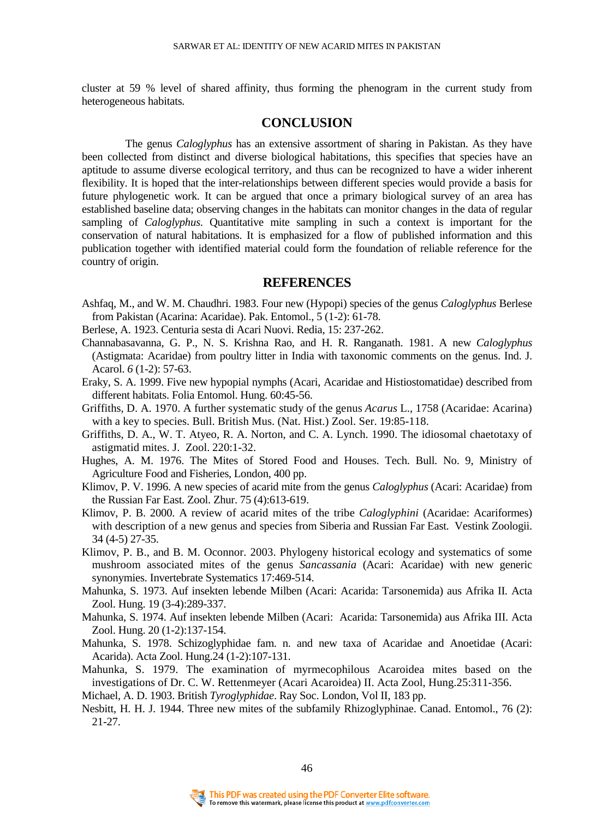cluster at 59 % level of shared affinity, thus forming the phenogram in the current study from heterogeneous habitats.

### **CONCLUSION**

The genus *Caloglyphus* has an extensive assortment of sharing in Pakistan. As they have been collected from distinct and diverse biological habitations, this specifies that species have an aptitude to assume diverse ecological territory, and thus can be recognized to have a wider inherent flexibility. It is hoped that the inter-relationships between different species would provide a basis for future phylogenetic work. It can be argued that once a primary biological survey of an area has established baseline data; observing changes in the habitats can monitor changes in the data of regular sampling of *Caloglyphus*. Quantitative mite sampling in such a context is important for the conservation of natural habitations. It is emphasized for a flow of published information and this publication together with identified material could form the foundation of reliable reference for the country of origin.

#### **REFERENCES**

- Ashfaq, M., and W. M. Chaudhri. 1983. Four new (Hypopi) species of the genus *Caloglyphus* Berlese from Pakistan (Acarina: Acaridae). Pak. Entomol., 5 (1-2): 61-78.
- Berlese, A. 1923. Centuria sesta di Acari Nuovi. Redia, 15: 237-262.
- Channabasavanna, G. P., N. S. Krishna Rao, and H. R. Ranganath. 1981. A new *Caloglyphus* (Astigmata: Acaridae) from poultry litter in India with taxonomic comments on the genus. Ind. J. Acarol. *6* (1-2): 57-63.
- Eraky, S. A. 1999. Five new hypopial nymphs (Acari, Acaridae and Histiostomatidae) described from different habitats. Folia Entomol. Hung. 60:45-56.
- Griffiths, D. A. 1970. A further systematic study of the genus *Acarus* L., 1758 (Acaridae: Acarina) with a key to species. Bull. British Mus. (Nat. Hist.) Zool. Ser. 19:85-118.
- Griffiths, D. A., W. T. Atyeo, R. A. Norton, and C. A. Lynch. 1990. The idiosomal chaetotaxy of astigmatid mites. J. Zool. 220:1-32.
- Hughes, A. M. 1976. The Mites of Stored Food and Houses. Tech. Bull. No. 9, Ministry of Agriculture Food and Fisheries, London, 400 pp.
- Klimov, P. V. 1996. A new species of acarid mite from the genus *Caloglyphus* (Acari: Acaridae) from the Russian Far East. Zool. Zhur. 75 (4):613-619.
- Klimov, P. B. 2000. A review of acarid mites of the tribe *Caloglyphini* (Acaridae: Acariformes) with description of a new genus and species from Siberia and Russian Far East. Vestink Zoologii. 34 (4-5) 27-35.
- Klimov, P. B., and B. M. Oconnor. 2003. Phylogeny historical ecology and systematics of some mushroom associated mites of the genus *Sancassania* (Acari: Acaridae) with new generic synonymies. Invertebrate Systematics 17:469-514.
- Mahunka, S. 1973. Auf insekten lebende Milben (Acari: Acarida: Tarsonemida) aus Afrika II*.* Acta Zool. Hung. 19 (3-4):289-337.
- Mahunka, S. 1974. Auf insekten lebende Milben (Acari: Acarida: Tarsonemida) aus Afrika III. Acta Zool. Hung. 20 (1-2):137-154.
- Mahunka, S. 1978. Schizoglyphidae fam. n. and new taxa of Acaridae and Anoetidae (Acari: Acarida). Acta Zool. Hung.24 (1-2):107-131.
- Mahunka, S. 1979. The examination of myrmecophilous Acaroidea mites based on the investigations of Dr. C. W. Rettenmeyer (Acari Acaroidea) II. Acta Zool, Hung.25:311-356.
- Michael, A. D. 1903. British *Tyroglyphidae*. Ray Soc. London, Vol II, 183 pp.
- Nesbitt, H. H. J. 1944. Three new mites of the subfamily Rhizoglyphinae. Canad. Entomol., 76 (2): 21-27.